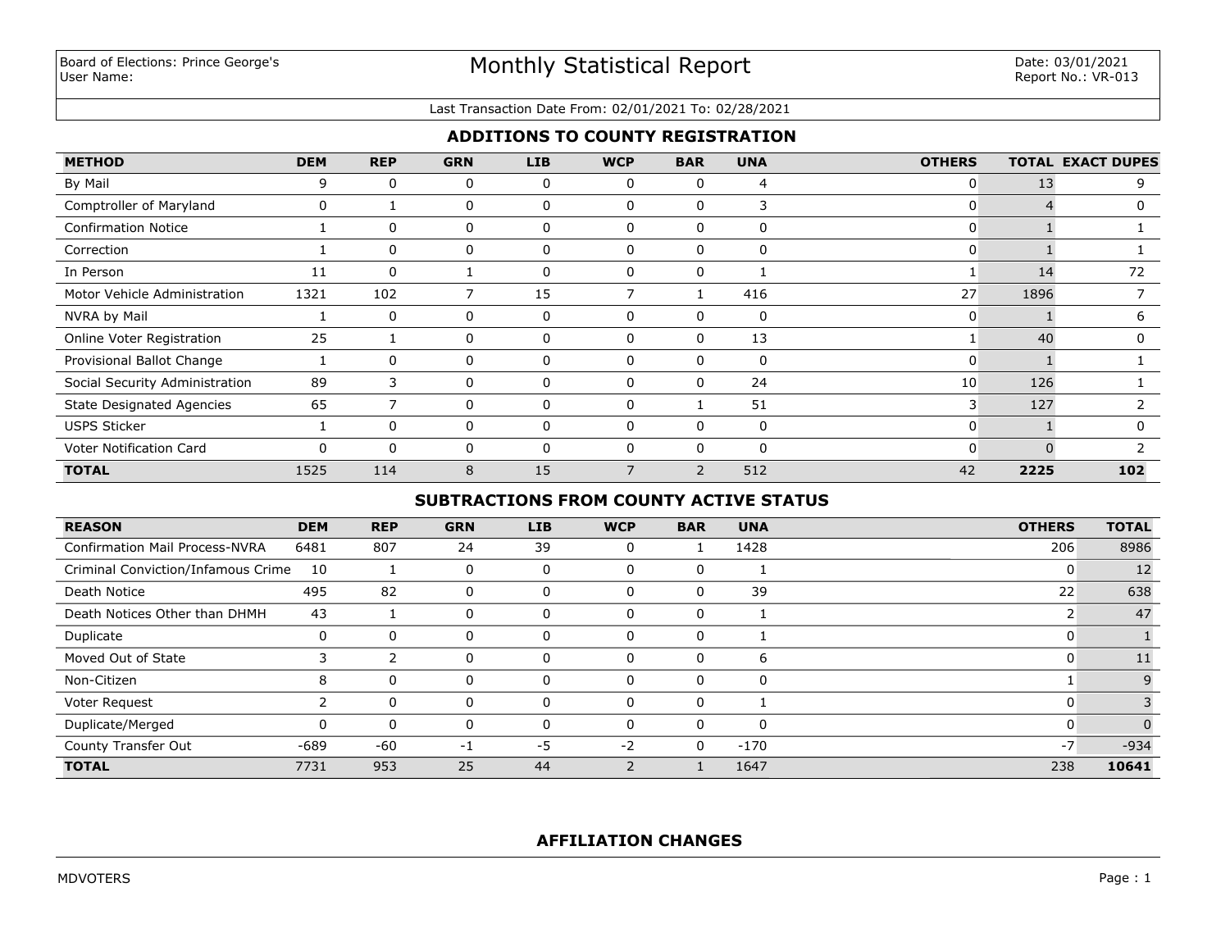#### Last Transaction Date From: 02/01/2021 To: 02/28/2021

# **ADDITIONS TO COUNTY REGISTRATION**

| <b>METHOD</b>                    | <b>DEM</b> | <b>REP</b> | <b>GRN</b> | <b>LIB</b> | <b>WCP</b>   | <b>BAR</b>               | <b>UNA</b> | <b>OTHERS</b>  |      | <b>TOTAL EXACT DUPES</b> |
|----------------------------------|------------|------------|------------|------------|--------------|--------------------------|------------|----------------|------|--------------------------|
| By Mail                          | 9          | 0          | 0          | 0          | $\Omega$     | 0                        | 4          | $\overline{0}$ | 13   | 9                        |
| Comptroller of Maryland          | 0          |            | 0          | 0          | <sup>0</sup> | 0                        | 3          | 0              |      |                          |
| <b>Confirmation Notice</b>       |            | 0          | 0          | 0          | $\Omega$     | 0                        | $\Omega$   | $\Omega$       |      |                          |
| Correction                       |            | $\Omega$   | 0          | 0          | $\Omega$     | $\Omega$                 | $\Omega$   | 0              |      |                          |
| In Person                        | 11         | 0          |            | 0          | $\Omega$     | $\Omega$                 |            |                | 14   | 72                       |
| Motor Vehicle Administration     | 1321       | 102        | 7          | 15         |              |                          | 416        | 27             | 1896 |                          |
| NVRA by Mail                     |            | $\Omega$   | 0          | 0          | $\Omega$     | 0                        | 0          | $\mathbf{0}$   |      | 6                        |
| Online Voter Registration        | 25         |            | 0          | 0          | 0            | $\Omega$                 | 13         |                | 40   | 0                        |
| Provisional Ballot Change        |            | $\Omega$   | 0          | 0          | C            | 0                        | 0          | $\mathbf{0}$   |      |                          |
| Social Security Administration   | 89         | 3          | 0          | 0          | $\Omega$     | 0                        | 24         | 10             | 126  |                          |
| <b>State Designated Agencies</b> | 65         |            | 0          | $\Omega$   |              |                          | 51         | 3              | 127  |                          |
| <b>USPS Sticker</b>              |            | $\Omega$   | 0          | $\Omega$   | $\Omega$     | $\Omega$                 | $\Omega$   | 0              |      |                          |
| Voter Notification Card          | $\Omega$   | $\Omega$   | 0          | $\Omega$   |              | $\Omega$                 | $\Omega$   | $\Omega$       |      |                          |
| <b>TOTAL</b>                     | 1525       | 114        | 8          | 15         |              | $\overline{\phantom{0}}$ | 512        | 42             | 2225 | 102                      |

# **SUBTRACTIONS FROM COUNTY ACTIVE STATUS**

| <b>REASON</b>                         | <b>DEM</b> | <b>REP</b>    | <b>GRN</b> | LIB | <b>WCP</b> | <b>BAR</b> | <b>UNA</b> | <b>OTHERS</b> | <b>TOTAL</b> |
|---------------------------------------|------------|---------------|------------|-----|------------|------------|------------|---------------|--------------|
| <b>Confirmation Mail Process-NVRA</b> | 6481       | 807           | 24         | 39  | 0          |            | 1428       | 206           | 8986         |
| Criminal Conviction/Infamous Crime    | 10         |               | 0          | 0   | 0          | 0          |            | 0             | 12           |
| Death Notice                          | 495        | 82            | $\Omega$   | 0   | 0          | 0          | 39         | 22            | 638          |
| Death Notices Other than DHMH         | 43         |               | 0          | 0   | 0          | 0          |            |               | 47           |
| Duplicate                             | 0          | 0             | 0          | 0   | 0          | 0          |            |               |              |
| Moved Out of State                    |            | $\mathcal{P}$ | 0          | 0   | $\Omega$   | 0          | 6          |               | 11           |
| Non-Citizen                           | 8          | 0             | 0          |     | 0          |            | $\Omega$   |               |              |
| Voter Request                         |            | $\Omega$      | 0          | 0   | $\Omega$   | 0          |            |               |              |
| Duplicate/Merged                      | 0          | $\Omega$      | 0          | 0   | $\Omega$   | $\Omega$   | $\Omega$   | 0             |              |
| County Transfer Out                   | -689       | -60           | -1         | -5  | $-2$       | 0          | $-170$     | $-7$          | $-934$       |
| <b>TOTAL</b>                          | 7731       | 953           | 25         | 44  |            |            | 1647       | 238           | 10641        |

# **AFFILIATION CHANGES**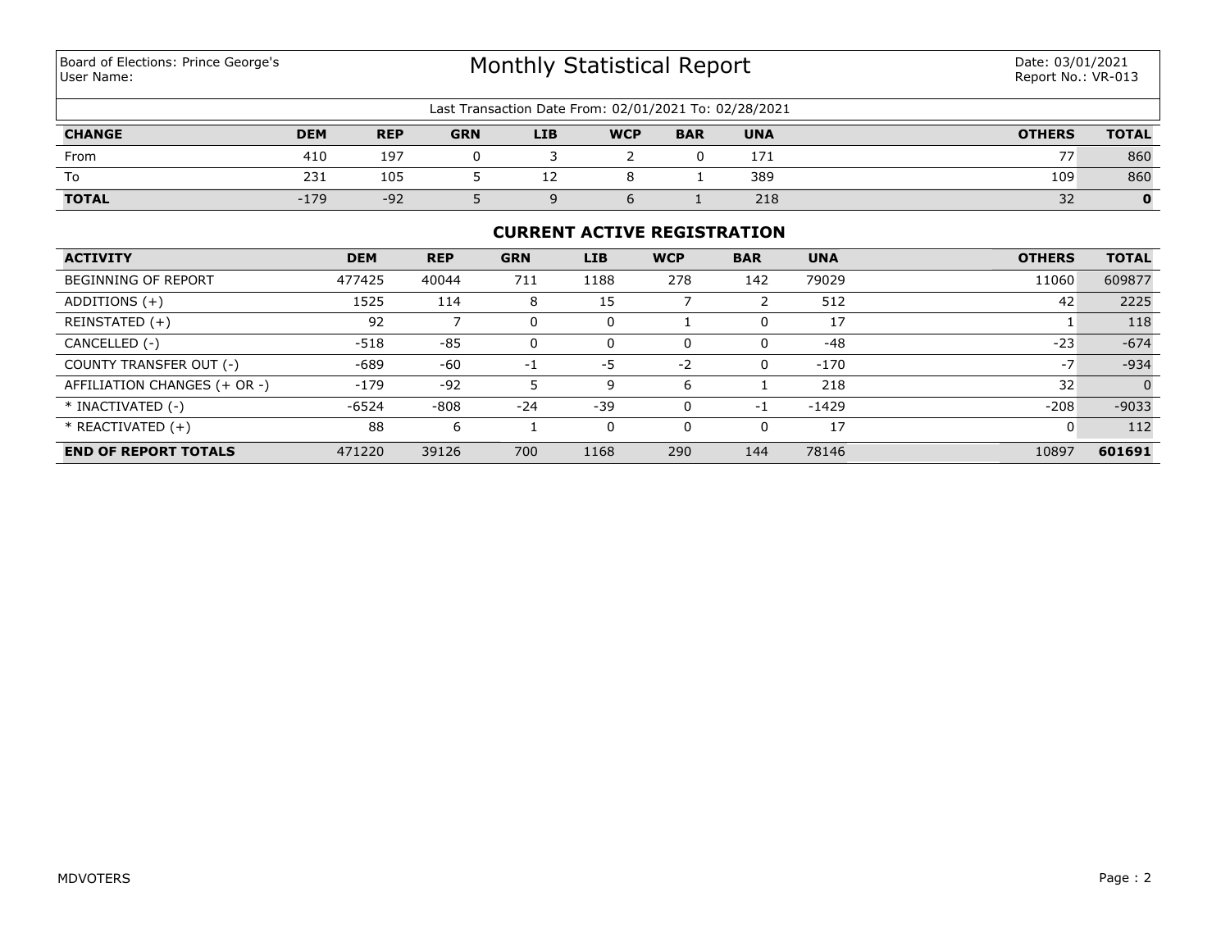# Monthly Statistical Report

| Last Transaction Date From: 02/01/2021 To: 02/28/2021 |            |            |            |            |            |            |            |               |              |
|-------------------------------------------------------|------------|------------|------------|------------|------------|------------|------------|---------------|--------------|
| <b>CHANGE</b>                                         | <b>DEM</b> | <b>REP</b> | <b>GRN</b> | <b>LIB</b> | <b>WCP</b> | <b>BAR</b> | <b>UNA</b> | <b>OTHERS</b> | <b>TOTAL</b> |
| From                                                  | 410        | 197        |            |            |            |            | 171        |               | 860          |
| To                                                    | 231        | 105        |            | ∸∸         |            |            | 389        | 109           | 860          |
| <b>TOTAL</b>                                          | $-179$     | $-92$      |            |            |            |            | 218        | 32            |              |

## **CURRENT ACTIVE REGISTRATION**

| <b>ACTIVITY</b>              | <b>DEM</b> | <b>REP</b> | <b>GRN</b> | <b>LIB</b> | <b>WCP</b> | <b>BAR</b> | <b>UNA</b> | <b>OTHERS</b> | <b>TOTAL</b> |
|------------------------------|------------|------------|------------|------------|------------|------------|------------|---------------|--------------|
| <b>BEGINNING OF REPORT</b>   | 477425     | 40044      | 711        | 1188       | 278        | 142        | 79029      | 11060         | 609877       |
| ADDITIONS $(+)$              | 1525       | 114        | 8          | 15         |            |            | 512        | 42            | 2225         |
| REINSTATED (+)               | 92         |            | 0          |            |            |            | 17         |               | 118          |
| CANCELLED (-)                | $-518$     | $-85$      | 0          | 0          | 0          | 0          | $-48$      | $-23$         | $-674$       |
| COUNTY TRANSFER OUT (-)      | $-689$     | $-60$      | $-1$       | -5         | $-2$       | 0          | $-170$     | $-7$          | $-934$       |
| AFFILIATION CHANGES (+ OR -) | $-179$     | $-92$      |            | q          | 6          |            | 218        | 32            | $\Omega$     |
| * INACTIVATED (-)            | $-6524$    | $-808$     | $-24$      | $-39$      | $\Omega$   | -1         | $-1429$    | $-208$        | $-9033$      |
| $*$ REACTIVATED $(+)$        | 88         | 6          |            |            | 0          | 0          | 17         | 0             | 112          |
| <b>END OF REPORT TOTALS</b>  | 471220     | 39126      | 700        | 1168       | 290        | 144        | 78146      | 10897         | 601691       |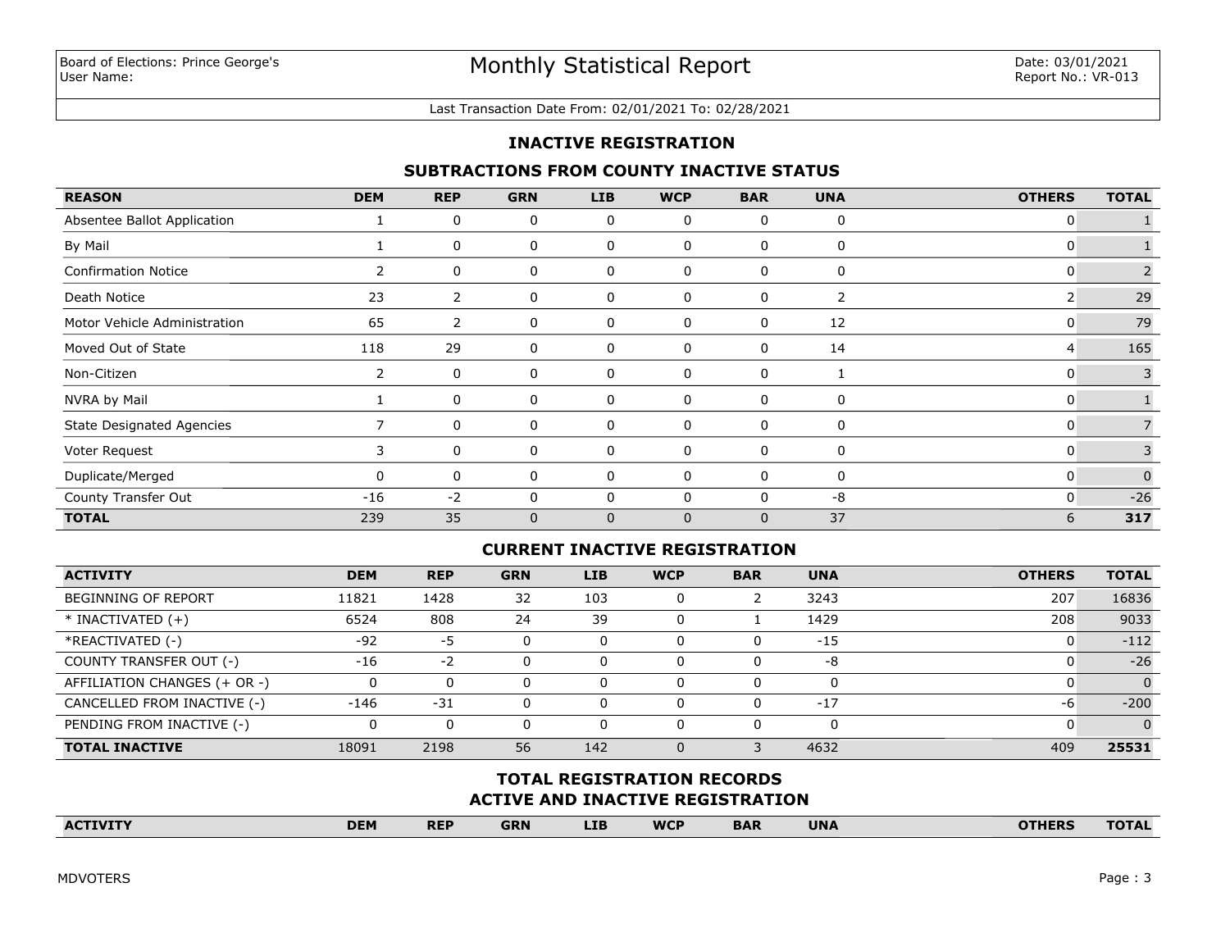#### Last Transaction Date From: 02/01/2021 To: 02/28/2021

### **INACTIVE REGISTRATION**

## **SUBTRACTIONS FROM COUNTY INACTIVE STATUS**

| <b>REASON</b>                    | <b>DEM</b>            | <b>REP</b>     | <b>GRN</b>   | <b>LIB</b> | <b>WCP</b>  | <b>BAR</b>   | <b>UNA</b> | <b>OTHERS</b> | <b>TOTAL</b> |
|----------------------------------|-----------------------|----------------|--------------|------------|-------------|--------------|------------|---------------|--------------|
| Absentee Ballot Application      |                       | 0              | 0            | 0          | 0           | $\mathbf{0}$ | 0          | 0             |              |
| By Mail                          |                       | 0              | 0            | 0          | 0           | 0            | 0          | 0             |              |
| <b>Confirmation Notice</b>       | 2                     | 0              | 0            | 0          | 0           | 0            | 0          | 0             | 2            |
| Death Notice                     | 23                    | $\overline{2}$ | 0            | 0          | 0           | 0            | 2          | 2             | 29           |
| Motor Vehicle Administration     | 65                    | 2              | 0            | 0          | 0           | 0            | 12         | 0             | 79           |
| Moved Out of State               | 118                   | 29             | 0            | 0          | 0           | 0            | 14         | 4             | 165          |
| Non-Citizen                      | $\mathbf{2}^{\prime}$ | 0              | 0            | 0          | 0           | $\mathbf{0}$ |            | 0             | 3            |
| NVRA by Mail                     |                       | 0              | 0            | 0          | 0           | 0            | 0          | 0             |              |
| <b>State Designated Agencies</b> |                       | 0              | 0            | 0          | 0           | 0            | 0          | 0             |              |
| Voter Request                    | 3                     | 0              | 0            | 0          | 0           | 0            | 0          | 0             |              |
| Duplicate/Merged                 | $\Omega$              | 0              | 0            | 0          | 0           | 0            | $\Omega$   | 0             | $\Omega$     |
| County Transfer Out              | $-16$                 | $-2$           | 0            | 0          | 0           | 0            | -8         | 0             | $-26$        |
| <b>TOTAL</b>                     | 239                   | 35             | $\mathbf{0}$ | 0          | $\mathbf 0$ | $\mathbf{0}$ | 37         | 6             | 317          |

#### **CURRENT INACTIVE REGISTRATION**

| <b>ACTIVITY</b>              | <b>DEM</b> | <b>REP</b> | <b>GRN</b> | LIB. | <b>WCP</b> | <b>BAR</b> | <b>UNA</b> | <b>OTHERS</b> | <b>TOTAL</b> |
|------------------------------|------------|------------|------------|------|------------|------------|------------|---------------|--------------|
| <b>BEGINNING OF REPORT</b>   | 11821      | 1428       | 32         | 103  | 0          |            | 3243       | 207           | 16836        |
| $*$ INACTIVATED $(+)$        | 6524       | 808        | 24         | 39   | 0          |            | 1429       | 208           | 9033         |
| *REACTIVATED (-)             | $-92$      | -5         | 0          |      | 0          |            | $-15$      | u             | $-112$       |
| COUNTY TRANSFER OUT (-)      | $-16$      | $-2$       | $\Omega$   |      | O          |            | -8         |               | $-26$        |
| AFFILIATION CHANGES (+ OR -) |            |            | $\Omega$   |      | 0          |            | 0          |               | $\Omega$     |
| CANCELLED FROM INACTIVE (-)  | $-146$     | $-31$      | $\Omega$   |      | 0          |            | $-17$      | -6            | $-200$       |
| PENDING FROM INACTIVE (-)    |            |            | $\Omega$   | 0    | 0          |            | 0          |               |              |
| <b>TOTAL INACTIVE</b>        | 18091      | 2198       | 56         | 142  |            |            | 4632       | 409           | 25531        |

# **ACTIVE AND INACTIVE REGISTRATION TOTAL REGISTRATION RECORDS**

| <b>ACTIVITY</b> | <b>DEM</b> | <b>REP</b> | <b>GRN</b> | LIB | <b>WCP</b> | <b>BAR</b> | <b>UNA</b> | <b>OTHERS</b> | <b>TOTAL</b> |
|-----------------|------------|------------|------------|-----|------------|------------|------------|---------------|--------------|
|                 |            |            |            |     |            |            |            |               |              |